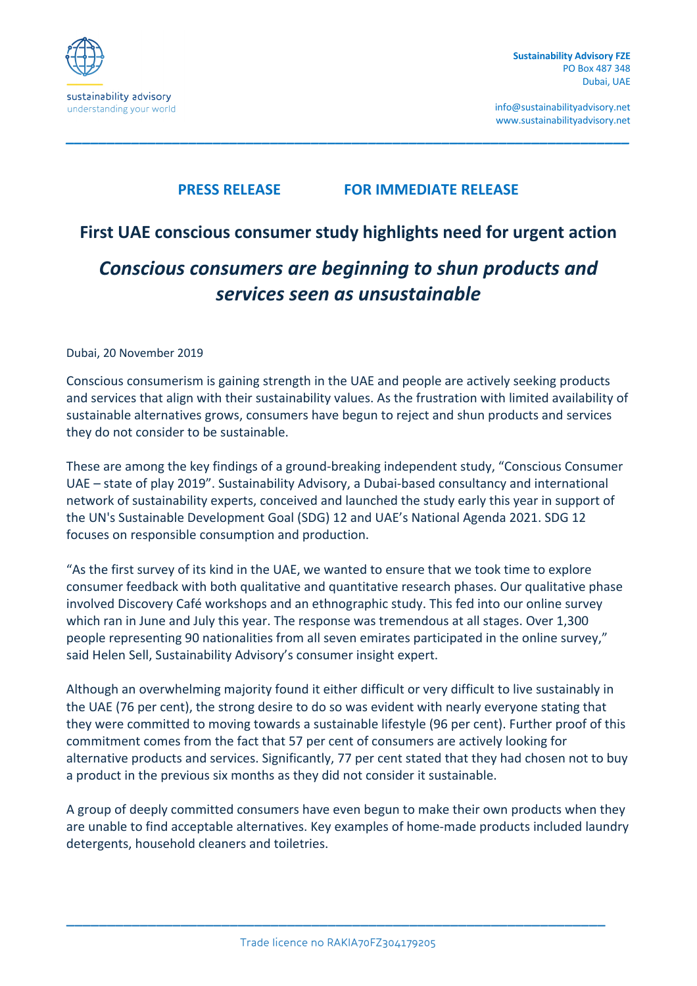

info@sustainabilityadvisory.net www.sustainabilityadvisory.net

# **PRESS RELEASE FOR IMMEDIATE RELEASE**

*\_\_\_\_\_\_\_\_\_\_\_\_\_\_\_\_\_\_\_\_\_\_\_\_\_\_\_\_\_\_\_\_\_\_\_\_\_\_\_\_\_\_\_\_\_\_\_\_\_\_\_\_\_\_\_\_\_\_\_\_\_\_\_\_\_\_\_\_\_*

# **First UAE conscious consumer study highlights need for urgent action** *Conscious consumers are beginning to shun products and services seen as unsustainable*

#### Dubai, 20 November 2019

Conscious consumerism is gaining strength in the UAE and people are actively seeking products and services that align with their sustainability values. As the frustration with limited availability of sustainable alternatives grows, consumers have begun to reject and shun products and services they do not consider to be sustainable.

These are among the key findings of a ground-breaking independent study, "Conscious Consumer UAE – state of play 2019". Sustainability Advisory, a Dubai-based consultancy and international network of sustainability experts, conceived and launched the study early this year in support of the UN's Sustainable Development Goal (SDG) 12 and UAE's National Agenda 2021. SDG 12 focuses on responsible consumption and production.

"As the first survey of its kind in the UAE, we wanted to ensure that we took time to explore consumer feedback with both qualitative and quantitative research phases. Our qualitative phase involved Discovery Café workshops and an ethnographic study. This fed into our online survey which ran in June and July this year. The response was tremendous at all stages. Over 1,300 people representing 90 nationalities from all seven emirates participated in the online survey," said Helen Sell, Sustainability Advisory's consumer insight expert.

Although an overwhelming majority found it either difficult or very difficult to live sustainably in the UAE (76 per cent), the strong desire to do so was evident with nearly everyone stating that they were committed to moving towards a sustainable lifestyle (96 per cent). Further proof of this commitment comes from the fact that 57 per cent of consumers are actively looking for alternative products and services. Significantly, 77 per cent stated that they had chosen not to buy a product in the previous six months as they did not consider it sustainable.

A group of deeply committed consumers have even begun to make their own products when they are unable to find acceptable alternatives. Key examples of home-made products included laundry detergents, household cleaners and toiletries.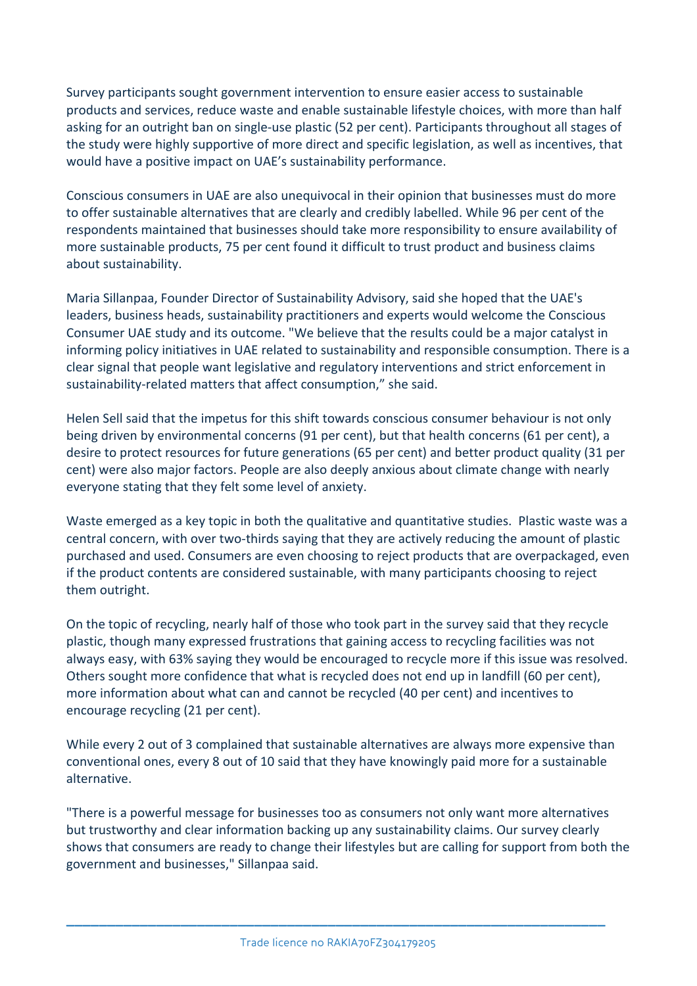Survey participants sought government intervention to ensure easier access to sustainable products and services, reduce waste and enable sustainable lifestyle choices, with more than half asking for an outright ban on single-use plastic (52 per cent). Participants throughout all stages of the study were highly supportive of more direct and specific legislation, as well as incentives, that would have a positive impact on UAE's sustainability performance.

Conscious consumers in UAE are also unequivocal in their opinion that businesses must do more to offer sustainable alternatives that are clearly and credibly labelled. While 96 per cent of the respondents maintained that businesses should take more responsibility to ensure availability of more sustainable products, 75 per cent found it difficult to trust product and business claims about sustainability.

Maria Sillanpaa, Founder Director of Sustainability Advisory, said she hoped that the UAE's leaders, business heads, sustainability practitioners and experts would welcome the Conscious Consumer UAE study and its outcome. "We believe that the results could be a major catalyst in informing policy initiatives in UAE related to sustainability and responsible consumption. There is a clear signal that people want legislative and regulatory interventions and strict enforcement in sustainability-related matters that affect consumption," she said.

Helen Sell said that the impetus for this shift towards conscious consumer behaviour is not only being driven by environmental concerns (91 per cent), but that health concerns (61 per cent), a desire to protect resources for future generations (65 per cent) and better product quality (31 per cent) were also major factors. People are also deeply anxious about climate change with nearly everyone stating that they felt some level of anxiety.

Waste emerged as a key topic in both the qualitative and quantitative studies. Plastic waste was a central concern, with over two-thirds saying that they are actively reducing the amount of plastic purchased and used. Consumers are even choosing to reject products that are overpackaged, even if the product contents are considered sustainable, with many participants choosing to reject them outright.

On the topic of recycling, nearly half of those who took part in the survey said that they recycle plastic, though many expressed frustrations that gaining access to recycling facilities was not always easy, with 63% saying they would be encouraged to recycle more if this issue was resolved. Others sought more confidence that what is recycled does not end up in landfill (60 per cent), more information about what can and cannot be recycled (40 per cent) and incentives to encourage recycling (21 per cent).

While every 2 out of 3 complained that sustainable alternatives are always more expensive than conventional ones, every 8 out of 10 said that they have knowingly paid more for a sustainable alternative.

"There is a powerful message for businesses too as consumers not only want more alternatives but trustworthy and clear information backing up any sustainability claims. Our survey clearly shows that consumers are ready to change their lifestyles but are calling for support from both the government and businesses," Sillanpaa said.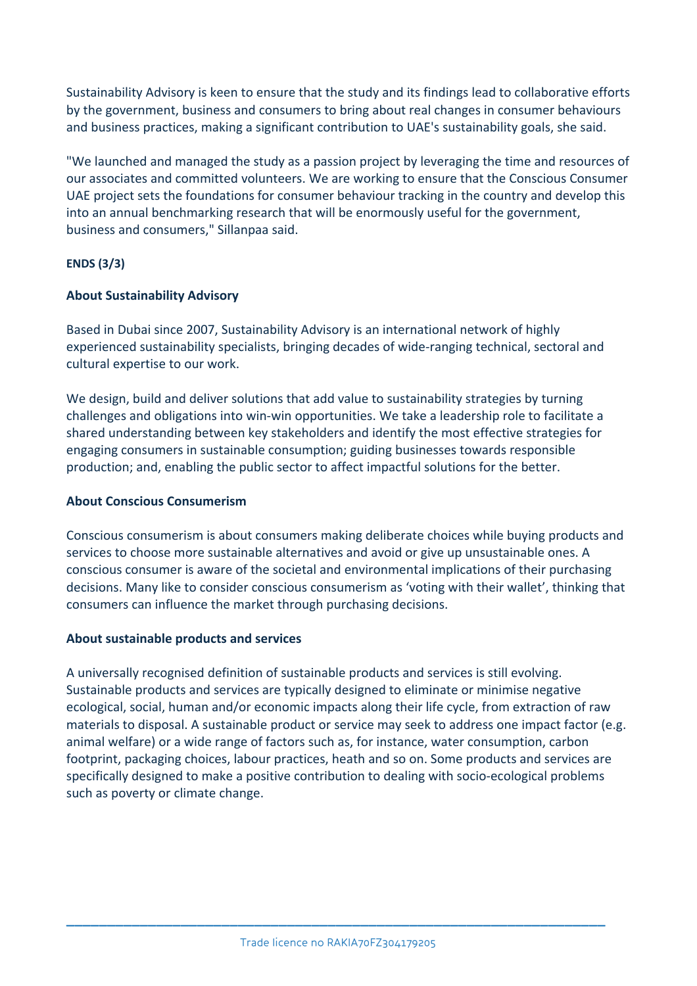Sustainability Advisory is keen to ensure that the study and its findings lead to collaborative efforts by the government, business and consumers to bring about real changes in consumer behaviours and business practices, making a significant contribution to UAE's sustainability goals, she said.

"We launched and managed the study as a passion project by leveraging the time and resources of our associates and committed volunteers. We are working to ensure that the Conscious Consumer UAE project sets the foundations for consumer behaviour tracking in the country and develop this into an annual benchmarking research that will be enormously useful for the government, business and consumers," Sillanpaa said.

#### **ENDS (3/3)**

## **About Sustainability Advisory**

Based in Dubai since 2007, Sustainability Advisory is an international network of highly experienced sustainability specialists, bringing decades of wide-ranging technical, sectoral and cultural expertise to our work.

We design, build and deliver solutions that add value to sustainability strategies by turning challenges and obligations into win-win opportunities. We take a leadership role to facilitate a shared understanding between key stakeholders and identify the most effective strategies for engaging consumers in sustainable consumption; guiding businesses towards responsible production; and, enabling the public sector to affect impactful solutions for the better.

#### **About Conscious Consumerism**

Conscious consumerism is about consumers making deliberate choices while buying products and services to choose more sustainable alternatives and avoid or give up unsustainable ones. A conscious consumer is aware of the societal and environmental implications of their purchasing decisions. Many like to consider conscious consumerism as 'voting with their wallet', thinking that consumers can influence the market through purchasing decisions.

#### **About sustainable products and services**

A universally recognised definition of sustainable products and services is still evolving. Sustainable products and services are typically designed to eliminate or minimise negative ecological, social, human and/or economic impacts along their life cycle, from extraction of raw materials to disposal. A sustainable product or service may seek to address one impact factor (e.g. animal welfare) or a wide range of factors such as, for instance, water consumption, carbon footprint, packaging choices, labour practices, heath and so on. Some products and services are specifically designed to make a positive contribution to dealing with socio-ecological problems such as poverty or climate change.